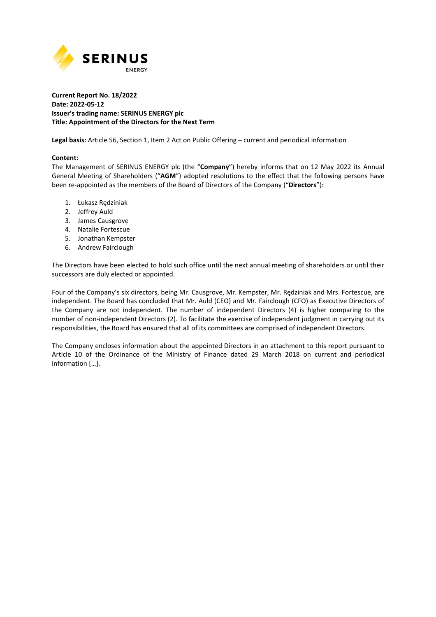

### **Current Report No. 18/2022 Date: 2022-05-12 Issuer's trading name: SERINUS ENERGY plc Title: Appointment of the Directors for the Next Term**

**Legal basis:** Article 56, Section 1, Item 2 Act on Public Offering – current and periodical information

### **Content:**

The Management of SERINUS ENERGY plc (the "**Company**") hereby informs that on 12 May 2022 its Annual General Meeting of Shareholders ("**AGM**") adopted resolutions to the effect that the following persons have been re-appointed as the members of the Board of Directors of the Company ("**Directors**"):

- 1. Łukasz Rędziniak
- 2. Jeffrey Auld
- 3. James Causgrove
- 4. Natalie Fortescue
- 5. Jonathan Kempster
- 6. Andrew Fairclough

The Directors have been elected to hold such office until the next annual meeting of shareholders or until their successors are duly elected or appointed.

Four of the Company's six directors, being Mr. Causgrove, Mr. Kempster, Mr. Rędziniak and Mrs. Fortescue, are independent. The Board has concluded that Mr. Auld (CEO) and Mr. Fairclough (CFO) as Executive Directors of the Company are not independent. The number of independent Directors (4) is higher comparing to the number of non-independent Directors (2). To facilitate the exercise of independent judgment in carrying out its responsibilities, the Board has ensured that all of its committees are comprised of independent Directors.

The Company encloses information about the appointed Directors in an attachment to this report pursuant to Article 10 of the Ordinance of the Ministry of Finance dated 29 March 2018 on current and periodical information […].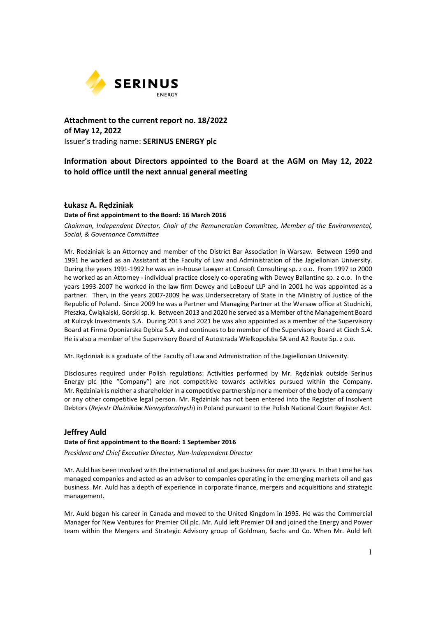

**Attachment to the current report no. 18/2022 of May 12, 2022**  Issuer's trading name: **SERINUS ENERGY plc** 

# **Information about Directors appointed to the Board at the AGM on May 12, 2022 to hold office until the next annual general meeting**

## **Łukasz A. Rędziniak**

### **Date of first appointment to the Board: 16 March 2016**

*Chairman, Independent Director, Chair of the Remuneration Committee, Member of the Environmental, Social, & Governance Committee* 

Mr. Redziniak is an Attorney and member of the District Bar Association in Warsaw. Between 1990 and 1991 he worked as an Assistant at the Faculty of Law and Administration of the Jagiellonian University. During the years 1991-1992 he was an in-house Lawyer at Consoft Consulting sp. z o.o. From 1997 to 2000 he worked as an Attorney - individual practice closely co-operating with Dewey Ballantine sp. z o.o. In the years 1993-2007 he worked in the law firm Dewey and LeBoeuf LLP and in 2001 he was appointed as a partner. Then, in the years 2007-2009 he was Undersecretary of State in the Ministry of Justice of the Republic of Poland. Since 2009 he was a Partner and Managing Partner at the Warsaw office at Studnicki, Płeszka, Ćwiąkalski, Górski sp. k. Between 2013 and 2020 he served as a Member of the Management Board at Kulczyk Investments S.A. During 2013 and 2021 he was also appointed as a member of the Supervisory Board at Firma Oponiarska Dębica S.A. and continues to be member of the Supervisory Board at Ciech S.A. He is also a member of the Supervisory Board of Autostrada Wielkopolska SA and A2 Route Sp. z o.o.

Mr. Rędziniak is a graduate of the Faculty of Law and Administration of the Jagiellonian University.

Disclosures required under Polish regulations: Activities performed by Mr. Rędziniak outside Serinus Energy plc (the "Company") are not competitive towards activities pursued within the Company. Mr. Rędziniak is neither a shareholder in a competitive partnership nor a member of the body of a company or any other competitive legal person. Mr. Rędziniak has not been entered into the Register of Insolvent Debtors (*Rejestr Dłużników Niewypłacalnych*) in Poland pursuant to the Polish National Court Register Act.

## **Jeffrey Auld**

### **Date of first appointment to the Board: 1 September 2016**

*President and Chief Executive Director, Non-Independent Director* 

Mr. Auld has been involved with the international oil and gas business for over 30 years. In that time he has managed companies and acted as an advisor to companies operating in the emerging markets oil and gas business. Mr. Auld has a depth of experience in corporate finance, mergers and acquisitions and strategic management.

Mr. Auld began his career in Canada and moved to the United Kingdom in 1995. He was the Commercial Manager for New Ventures for Premier Oil plc. Mr. Auld left Premier Oil and joined the Energy and Power team within the Mergers and Strategic Advisory group of Goldman, Sachs and Co. When Mr. Auld left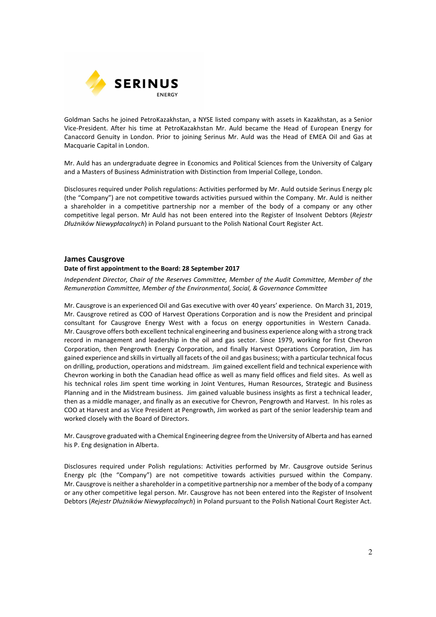

Goldman Sachs he joined PetroKazakhstan, a NYSE listed company with assets in Kazakhstan, as a Senior Vice-President. After his time at PetroKazakhstan Mr. Auld became the Head of European Energy for Canaccord Genuity in London. Prior to joining Serinus Mr. Auld was the Head of EMEA Oil and Gas at Macquarie Capital in London.

Mr. Auld has an undergraduate degree in Economics and Political Sciences from the University of Calgary and a Masters of Business Administration with Distinction from Imperial College, London.

Disclosures required under Polish regulations: Activities performed by Mr. Auld outside Serinus Energy plc (the "Company") are not competitive towards activities pursued within the Company. Mr. Auld is neither a shareholder in a competitive partnership nor a member of the body of a company or any other competitive legal person. Mr Auld has not been entered into the Register of Insolvent Debtors (*Rejestr Dłużników Niewypłacalnych*) in Poland pursuant to the Polish National Court Register Act.

# **James Causgrove**

## **Date of first appointment to the Board: 28 September 2017**

*Independent Director, Chair of the Reserves Committee, Member of the Audit Committee, Member of the Remuneration Committee, Member of the Environmental, Social, & Governance Committee* 

Mr. Causgrove is an experienced Oil and Gas executive with over 40 years' experience. On March 31, 2019, Mr. Causgrove retired as COO of Harvest Operations Corporation and is now the President and principal consultant for Causgrove Energy West with a focus on energy opportunities in Western Canada. Mr. Causgrove offers both excellent technical engineering and business experience along with a strong track record in management and leadership in the oil and gas sector. Since 1979, working for first Chevron Corporation, then Pengrowth Energy Corporation, and finally Harvest Operations Corporation, Jim has gained experience and skills in virtually all facets of the oil and gas business; with a particular technical focus on drilling, production, operations and midstream. Jim gained excellent field and technical experience with Chevron working in both the Canadian head office as well as many field offices and field sites. As well as his technical roles Jim spent time working in Joint Ventures, Human Resources, Strategic and Business Planning and in the Midstream business. Jim gained valuable business insights as first a technical leader, then as a middle manager, and finally as an executive for Chevron, Pengrowth and Harvest. In his roles as COO at Harvest and as Vice President at Pengrowth, Jim worked as part of the senior leadership team and worked closely with the Board of Directors.

Mr. Causgrove graduated with a Chemical Engineering degree from the University of Alberta and has earned his P. Eng designation in Alberta.

Disclosures required under Polish regulations: Activities performed by Mr. Causgrove outside Serinus Energy plc (the "Company") are not competitive towards activities pursued within the Company. Mr. Causgrove is neither a shareholder in a competitive partnership nor a member of the body of a company or any other competitive legal person. Mr. Causgrove has not been entered into the Register of Insolvent Debtors (*Rejestr Dłużników Niewypłacalnych*) in Poland pursuant to the Polish National Court Register Act.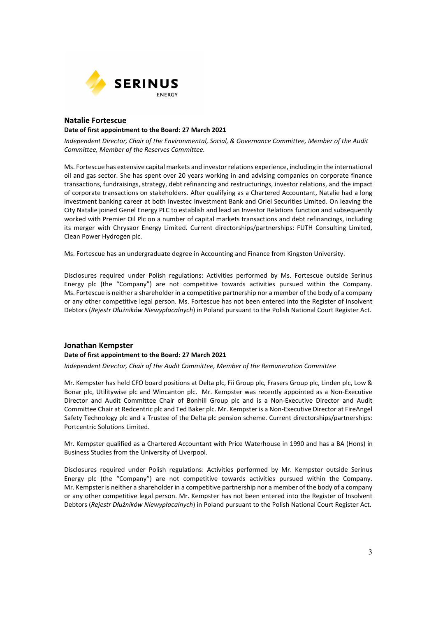

## **Natalie Fortescue Date of first appointment to the Board: 27 March 2021**

*Independent Director, Chair of the Environmental, Social, & Governance Committee, Member of the Audit Committee, Member of the Reserves Committee.* 

Ms. Fortescue has extensive capital markets and investor relations experience, including in the international oil and gas sector. She has spent over 20 years working in and advising companies on corporate finance transactions, fundraisings, strategy, debt refinancing and restructurings, investor relations, and the impact of corporate transactions on stakeholders. After qualifying as a Chartered Accountant, Natalie had a long investment banking career at both Investec Investment Bank and Oriel Securities Limited. On leaving the City Natalie joined Genel Energy PLC to establish and lead an Investor Relations function and subsequently worked with Premier Oil Plc on a number of capital markets transactions and debt refinancings, including its merger with Chrysaor Energy Limited. Current directorships/partnerships: FUTH Consulting Limited, Clean Power Hydrogen plc.

Ms. Fortescue has an undergraduate degree in Accounting and Finance from Kingston University.

Disclosures required under Polish regulations: Activities performed by Ms. Fortescue outside Serinus Energy plc (the "Company") are not competitive towards activities pursued within the Company. Ms. Fortescue is neither a shareholder in a competitive partnership nor a member of the body of a company or any other competitive legal person. Ms. Fortescue has not been entered into the Register of Insolvent Debtors (*Rejestr Dłużników Niewypłacalnych*) in Poland pursuant to the Polish National Court Register Act.

## **Jonathan Kempster**

#### **Date of first appointment to the Board: 27 March 2021**

*Independent Director, Chair of the Audit Committee, Member of the Remuneration Committee* 

Mr. Kempster has held CFO board positions at Delta plc, Fii Group plc, Frasers Group plc, Linden plc, Low & Bonar plc, Utilitywise plc and Wincanton plc. Mr. Kempster was recently appointed as a Non-Executive Director and Audit Committee Chair of Bonhill Group plc and is a Non-Executive Director and Audit Committee Chair at Redcentric plc and Ted Baker plc. Mr. Kempster is a Non-Executive Director at FireAngel Safety Technology plc and a Trustee of the Delta plc pension scheme. Current directorships/partnerships: Portcentric Solutions Limited.

Mr. Kempster qualified as a Chartered Accountant with Price Waterhouse in 1990 and has a BA (Hons) in Business Studies from the University of Liverpool.

Disclosures required under Polish regulations: Activities performed by Mr. Kempster outside Serinus Energy plc (the "Company") are not competitive towards activities pursued within the Company. Mr. Kempster is neither a shareholder in a competitive partnership nor a member of the body of a company or any other competitive legal person. Mr. Kempster has not been entered into the Register of Insolvent Debtors (*Rejestr Dłużników Niewypłacalnych*) in Poland pursuant to the Polish National Court Register Act.